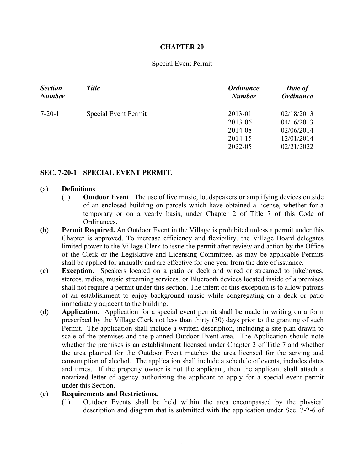# **CHAPTER 20**

## Special Event Permit

| <b>Section</b> | <b>Title</b>         | <b>Ordinance</b>                                    | Date of                                                            |
|----------------|----------------------|-----------------------------------------------------|--------------------------------------------------------------------|
| <b>Number</b>  |                      | <b>Number</b>                                       | <b>Ordinance</b>                                                   |
| $7 - 20 - 1$   | Special Event Permit | 2013-01<br>2013-06<br>2014-08<br>2014-15<br>2022-05 | 02/18/2013<br>04/16/2013<br>02/06/2014<br>12/01/2014<br>02/21/2022 |

## **SEC. 7-20-1 SPECIAL EVENT PERMIT.**

#### (a) **Definitions**.

- (1) **Outdoor Event**. The use of live music, loudspeakers or amplifying devices outside of an enclosed building on parcels which have obtained a license, whether for a temporary or on a yearly basis, under Chapter 2 of Title 7 of this Code of Ordinances.
- (b) **Permit Required.** An Outdoor Event in the Village is prohibited unless a permit under this Chapter is approved. To increase efficiency and flexibility. the Village Board delegates limited power to the Village Clerk to issue the permit after revie\v and action by the Office of the Clerk or the Legislative and Licensing Committee. as may be applicable Permits shall be applied for annually and are effective for one year from the date of issuance.
- (c) **Exception.** Speakers located on a patio or deck and wired or streamed to jukeboxes. stereos. radios, music streaming services. or Bluetooth devices located inside of a premises shall not require a permit under this section. The intent of this exception is to allow patrons of an establishment to enjoy background music while congregating on a deck or patio immediately adjacent to the building.
- (d) **Application.** Application for a special event permit shall be made in writing on a form prescribed by the Village Clerk not less than thirty (30) days prior to the granting of such Permit. The application shall include a written description, including a site plan drawn to scale of the premises and the planned Outdoor Event area. The Application should note whether the premises is an establishment licensed under Chapter 2 of Title 7 and whether the area planned for the Outdoor Event matches the area licensed for the serving and consumption of alcohol. The application shall include a schedule of events, includes dates and times. If the property owner is not the applicant, then the applicant shall attach a notarized letter of agency authorizing the applicant to apply for a special event permit under this Section.

### (e) **Requirements and Restrictions.**

(1) Outdoor Events shall be held within the area encompassed by the physical description and diagram that is submitted with the application under Sec. 7-2-6 of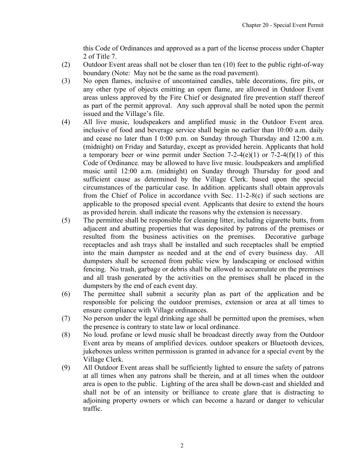this Code of Ordinances and approved as a part of the license process under Chapter 2 of Title 7.

- (2) Outdoor Event areas shall not be closer than ten (10) feet to the public right-of-way boundary (Note: May not be the same as the road pavement).
- (3) No open flames, inclusive of uncontained candles, table decorations, fire pits, or any other type of objects emitting an open flame, are allowed in Outdoor Event areas unless approved by the Fire Chief or designated fire prevention staff thereof as part of the permit approval. Any such approval shall be noted upon the permit issued and the Village's file.
- (4) All live music, loudspeakers and amplified music in the Outdoor Event area. inclusive of food and beverage service shall begin no earlier than 10:00 a.m. daily and cease no later than I 0:00 p.m. on Sunday through Thursday and 12:00 a.m. (midnight) on Friday and Saturday, except as provided herein. Applicants that hold a temporary beer or wine permit under Section 7-2-4(e)(1) or 7-2-4(f)(1) of this Code of Ordinance. may be allowed to have live music. loudspeakers and amplified music until 12:00 a.m. (midnight) on Sunday through Thursday for good and sufficient cause as determined by the Village Clerk. based upon the special circumstances of the particular case. In addition. applicants shall obtain approvals from the Chief of Police in accordance vvith Sec. 11-2-8(c) if such sections are applicable to the proposed special event. Applicants that desire to extend the hours as provided herein. shall indicate the reasons why the extension is necessary.
- (5) The permittee shall be responsible for cleaning litter, including cigarette butts, from adjacent and abutting properties that was deposited by patrons of the premises or resulted from the business activities on the premises. Decorative garbage receptacles and ash trays shall be installed and such receptacles shall be emptied into the main dumpster as needed and at the end of every business day. All dumpsters shall be screened from public view by landscaping or enclosed within fencing. No trash, garbage or debris shall be allowed to accumulate on the premises and all trash generated by the activities on the premises shall be placed in the dumpsters by the end of each event day.
- (6) The permittee shall submit a security plan as part of the application and be responsible for policing the outdoor premises, extension or area at all times to ensure compliance with Village ordinances.
- (7) No person under the legal drinking age shall be permitted upon the premises, when the presence is contrary to state law or local ordinance.
- (8) No loud. profane or lewd music shall be broadcast directly away from the Outdoor Event area by means of amplified devices. outdoor speakers or Bluetooth devices, jukeboxes unless written permission is granted in advance for a special event by the Village Clerk.
- (9) All Outdoor Event areas shall be sufficiently lighted to ensure the safety of patrons at all times when any patrons shall be therein, and at all times when the outdoor area is open to the public. Lighting of the area shall be down-cast and shielded and shall not be of an intensity or brilliance to create glare that is distracting to adjoining property owners or which can become a hazard or danger to vehicular traffic.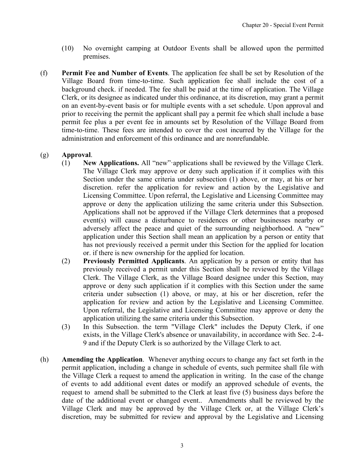- (10) No overnight camping at Outdoor Events shall be allowed upon the permitted premises.
- (f) **Permit Fee and Number of Events**. The application fee shall be set by Resolution of the Village Board from time-to-time. Such application fee shall include the cost of a background check. if needed. The fee shall be paid at the time of application. The Village Clerk, or its designee as indicated under this ordinance, at its discretion, may grant a permit on an event-by-event basis or for multiple events with a set schedule. Upon approval and prior to receiving the permit the applicant shall pay a permit fee which shall include a base permit fee plus a per event fee in amounts set by Resolution of the Village Board from time-to-time. These fees are intended to cover the cost incurred by the Village for the administration and enforcement of this ordinance and are nonrefundable.

# (g) **Approval**.

- (1) **New Applications.** All "new"·applications shall be reviewed by the Village Clerk. The Village Clerk may approve or deny such application if it complies with this Section under the same criteria under subsection (1) above, or may, at his or her discretion. refer the application for review and action by the Legislative and Licensing Committee. Upon referral, the Legislative and Licensing Committee may approve or deny the application utilizing the same criteria under this Subsection. Applications shall not be approved if the Village Clerk determines that a proposed event(s) will cause a disturbance to residences or other businesses nearby or adversely affect the peace and quiet of the surrounding neighborhood. A "new" application under this Section shall mean an application by a person or entity that has not previously received a permit under this Section for the applied for location or. if there is new ownership for the applied for location.
- (2) **Previously Permitted Applicants**. An application by a person or entity that has previously received a permit under this Section shall be reviewed by the Village Clerk. The Village Clerk, as the Village Board designee under this Section, may approve or deny such application if it complies with this Section under the same criteria under subsection (1) above, or may, at his or her discretion, refer the application for review and action by the Legislative and Licensing Committee. Upon referral, the Legislative and Licensing Committee may approve or deny the application utilizing the same criteria under this Subsection.
- (3) In this Subsection. the term "Village Clerk" includes the Deputy Clerk, if one exists, in the Village Clerk's absence or unavailability, in accordance with Sec. 2-4- 9 and if the Deputy Clerk is so authorized by the Village Clerk to act.
- (h) **Amending the Application**. Whenever anything occurs to change any fact set forth in the permit application, including a change in schedule of events, such permitee shall file with the Village Clerk a request to amend the application in writing. In the case of the change of events to add additional event dates or modify an approved schedule of events, the request to amend shall be submitted to the Clerk at least five (5) business days before the date of the additional event or changed event.. Amendments shall be reviewed by the Village Clerk and may be approved by the Village Clerk or, at the Village Clerk's discretion, may be submitted for review and approval by the Legislative and Licensing